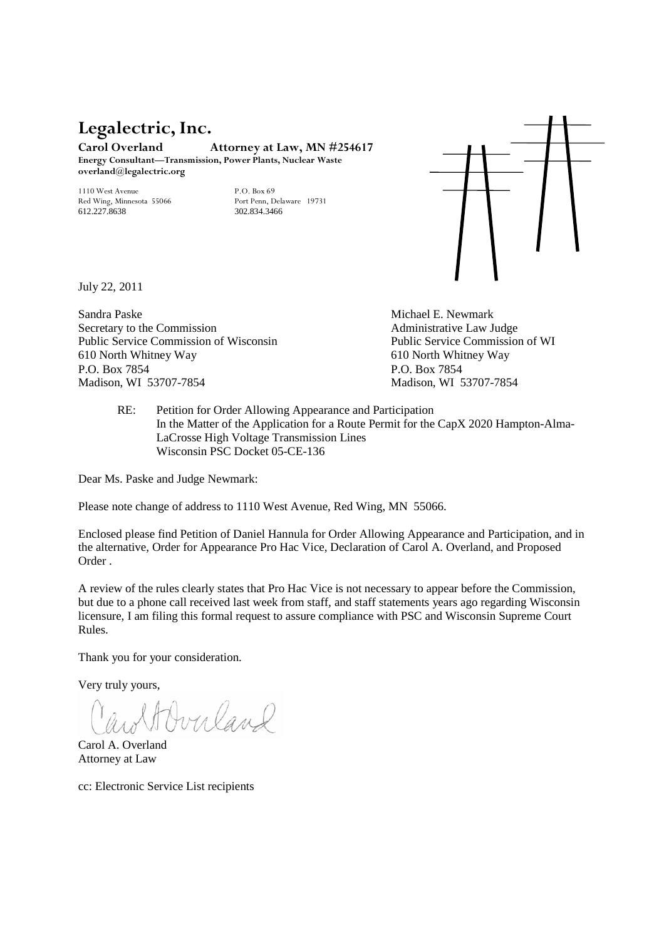# Legalectric, Inc.

Carol Overland Attorney at Law, MN #254617 Energy Consultant—Transmission, Power Plants, Nuclear Waste overland@legalectric.org

1110 West Avenue P.O. Box 69<br>
Red Wing, Minnesota 55066 Port Penn, Delaware 19731 Red Wing, Minnesota 55066 Port Penn, Dela<br>612 227 8638 302 834 3466 612.227.8638



July 22, 2011

Sandra Paske Michael E. Newmark Secretary to the Commission and Administrative Law Judge Public Service Commission of Wisconsin<br>
610 North Whitney Way<br>
610 North Whitney Way P.O. Box 7854 P.O. Box 7854 Madison, WI 53707-7854 Madison, WI 53707-7854

610 North Whitney Way

RE: Petition for Order Allowing Appearance and Participation In the Matter of the Application for a Route Permit for the CapX 2020 Hampton-Alma-LaCrosse High Voltage Transmission Lines Wisconsin PSC Docket 05-CE-136

Dear Ms. Paske and Judge Newmark:

Please note change of address to 1110 West Avenue, Red Wing, MN 55066.

Enclosed please find Petition of Daniel Hannula for Order Allowing Appearance and Participation, and in the alternative, Order for Appearance Pro Hac Vice, Declaration of Carol A. Overland, and Proposed Order .

A review of the rules clearly states that Pro Hac Vice is not necessary to appear before the Commission, but due to a phone call received last week from staff, and staff statements years ago regarding Wisconsin licensure, I am filing this formal request to assure compliance with PSC and Wisconsin Supreme Court Rules.

Thank you for your consideration.

Very truly yours,

Joyaland

Carol A. Overland Attorney at Law

cc: Electronic Service List recipients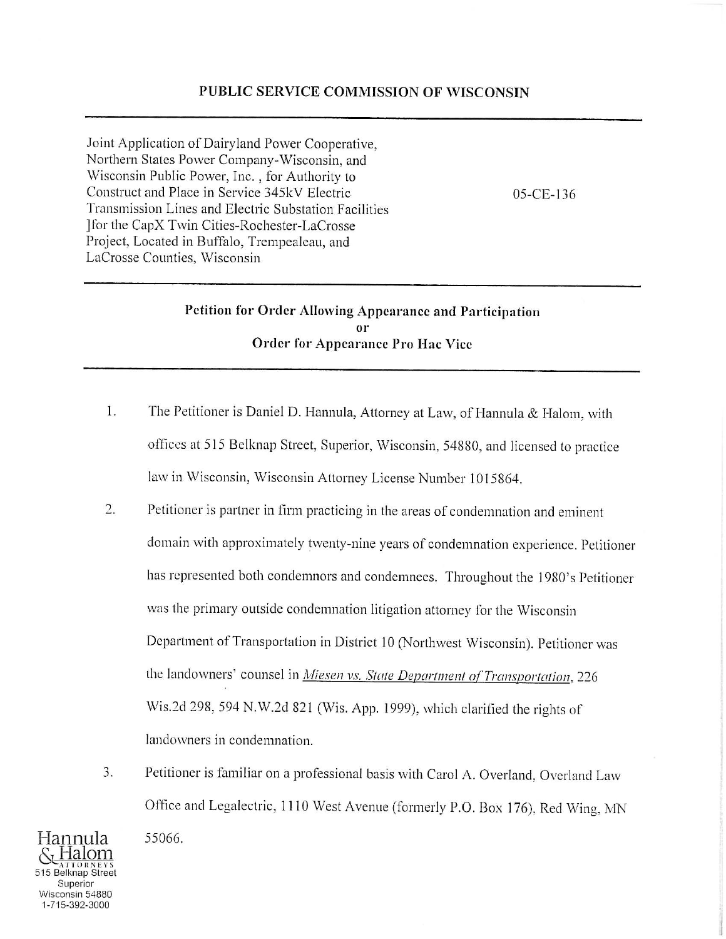### PUBLIC SERVICE COMMISSION OF WISCONSIN

Joint Application of Dairyland Power Cooperative, Northern States Power Company-Wisconsin, and Wisconsin Public Power, Inc., for Authority to Construct and Place in Service 345kV Electric Transmission Lines and Electric Substation Facilities Jfor the CapX Twin Cities-Rochester-LaCrosse Project, Located in Buffalo, Trempealeau, and LaCrosse Counties, Wisconsin

05-CE-136

## Petition for Order Allowing Appearance and Participation  $0r$ Order for Appearance Pro Hac Vice

- 1. The Petitioner is Daniel D. Hannula, Attorney at Law, of Hannula & Halom, with offices at 515 Belknap Street, Superior, Wisconsin, 54880, and licensed to practice law in Wisconsin, Wisconsin Attorney License Number 1015864.
- $\overline{2}$ . Petitioner is partner in firm practicing in the areas of condemnation and eminent domain with approximately twenty-nine years of condemnation experience. Petitioner has represented both condemnors and condemnees. Throughout the 1980's Petitioner was the primary outside condemnation litigation attorney for the Wisconsin Department of Transportation in District 10 (Northwest Wisconsin). Petitioner was the landowners' counsel in Miesen vs. State Department of Transportation, 226 Wis.2d 298, 594 N.W.2d 821 (Wis. App. 1999), which clarified the rights of landowners in condemnation.
- Petitioner is familiar on a professional basis with Carol A. Overland, Overland Law  $3.$ Office and Legalectric, 1110 West Avenue (formerly P.O. Box 176), Red Wing, MN



55066.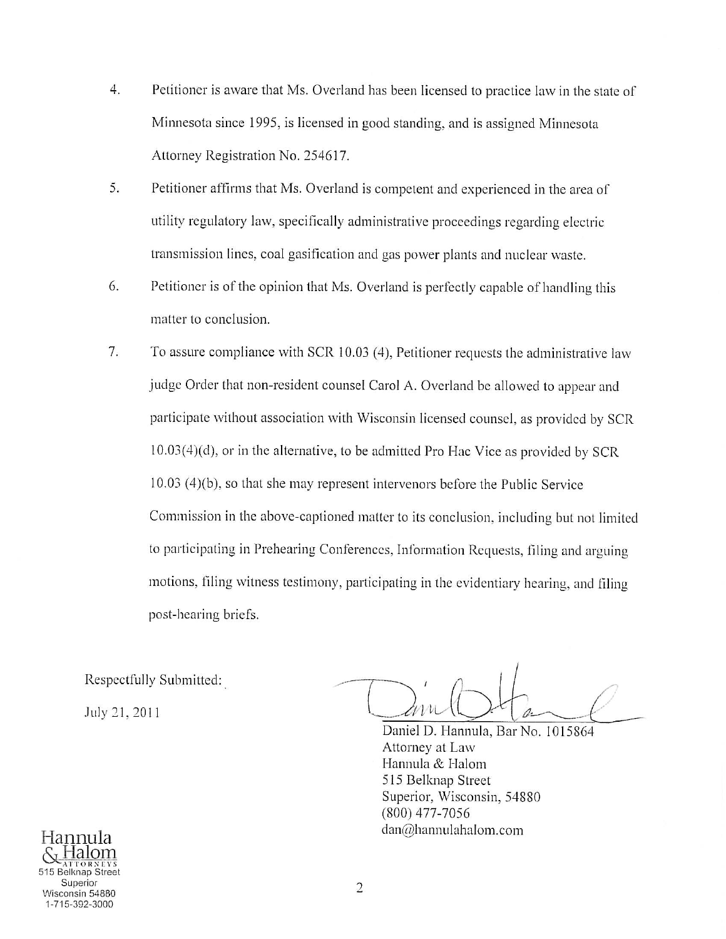- $4.$ Petitioner is aware that Ms. Overland has been licensed to practice law in the state of Minnesota since 1995, is licensed in good standing, and is assigned Minnesota Attorney Registration No. 254617.
- 5. Petitioner affirms that Ms. Overland is competent and experienced in the area of utility regulatory law, specifically administrative proceedings regarding electric transmission lines, coal gasification and gas power plants and nuclear waste.
- 6. Petitioner is of the opinion that Ms. Overland is perfectly capable of handling this matter to conclusion.
- 7. To assure compliance with SCR 10.03 (4), Petitioner requests the administrative law judge Order that non-resident counsel Carol A. Overland be allowed to appear and participate without association with Wisconsin licensed counsel, as provided by SCR 10.03(4)(d), or in the alternative, to be admitted Pro Hac Vice as provided by SCR  $10.03$  (4)(b), so that she may represent intervenors before the Public Service Commission in the above-captioned matter to its conclusion, including but not limited to participating in Prehearing Conferences, Information Requests, filing and arguing motions, filing witness testimony, participating in the evidentiary hearing, and filing post-hearing briefs.

Respectfully Submitted:

July 21, 2011

Daniel D. Hannula, Bar No. 1015864 Attorney at Law Hannula & Halom 515 Belknap Street Superior, Wisconsin, 54880  $(800)$  477-7056 dan@hannulahalom.com

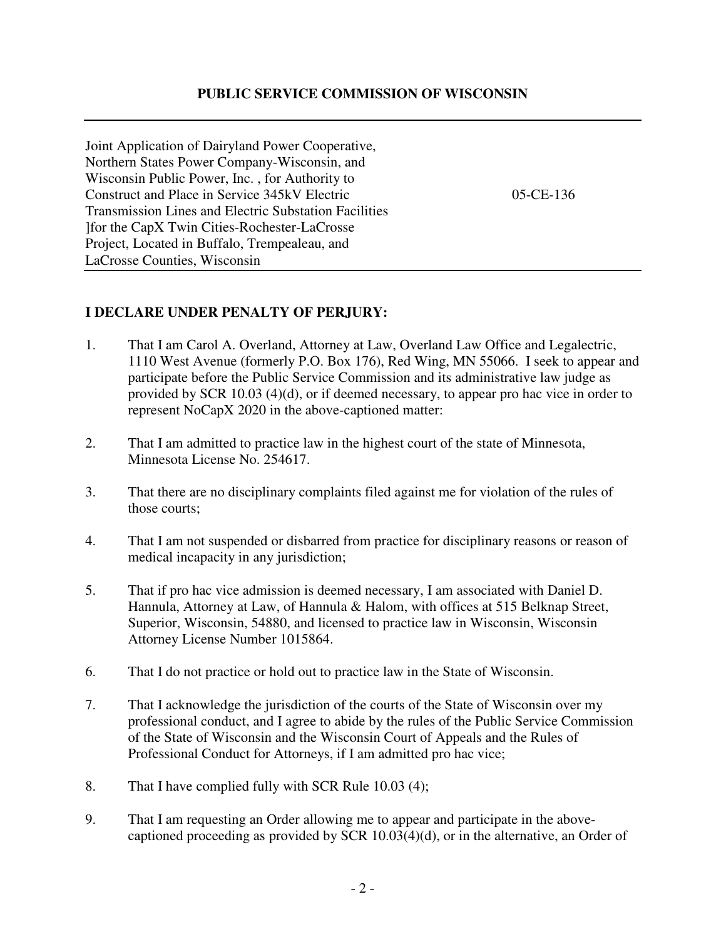### **PUBLIC SERVICE COMMISSION OF WISCONSIN**

Joint Application of Dairyland Power Cooperative, Northern States Power Company-Wisconsin, and Wisconsin Public Power, Inc. , for Authority to Construct and Place in Service 345kV Electric 05-CE-136 Transmission Lines and Electric Substation Facilities ]for the CapX Twin Cities-Rochester-LaCrosse Project, Located in Buffalo, Trempealeau, and LaCrosse Counties, Wisconsin

# **I DECLARE UNDER PENALTY OF PERJURY:**

- 1. That I am Carol A. Overland, Attorney at Law, Overland Law Office and Legalectric, 1110 West Avenue (formerly P.O. Box 176), Red Wing, MN 55066. I seek to appear and participate before the Public Service Commission and its administrative law judge as provided by SCR 10.03 (4)(d), or if deemed necessary, to appear pro hac vice in order to represent NoCapX 2020 in the above-captioned matter:
- 2. That I am admitted to practice law in the highest court of the state of Minnesota, Minnesota License No. 254617.
- 3. That there are no disciplinary complaints filed against me for violation of the rules of those courts;
- 4. That I am not suspended or disbarred from practice for disciplinary reasons or reason of medical incapacity in any jurisdiction;
- 5. That if pro hac vice admission is deemed necessary, I am associated with Daniel D. Hannula, Attorney at Law, of Hannula & Halom, with offices at 515 Belknap Street, Superior, Wisconsin, 54880, and licensed to practice law in Wisconsin, Wisconsin Attorney License Number 1015864.
- 6. That I do not practice or hold out to practice law in the State of Wisconsin.
- 7. That I acknowledge the jurisdiction of the courts of the State of Wisconsin over my professional conduct, and I agree to abide by the rules of the Public Service Commission of the State of Wisconsin and the Wisconsin Court of Appeals and the Rules of Professional Conduct for Attorneys, if I am admitted pro hac vice;
- 8. That I have complied fully with SCR Rule 10.03 (4);
- 9. That I am requesting an Order allowing me to appear and participate in the abovecaptioned proceeding as provided by SCR 10.03(4)(d), or in the alternative, an Order of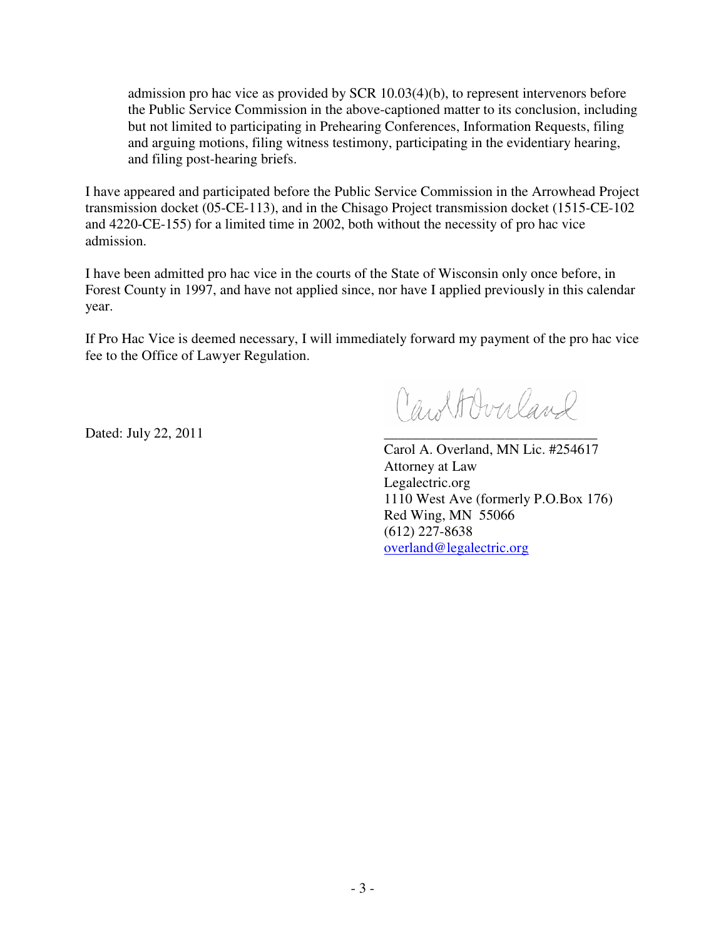admission pro hac vice as provided by SCR 10.03(4)(b), to represent intervenors before the Public Service Commission in the above-captioned matter to its conclusion, including but not limited to participating in Prehearing Conferences, Information Requests, filing and arguing motions, filing witness testimony, participating in the evidentiary hearing, and filing post-hearing briefs.

I have appeared and participated before the Public Service Commission in the Arrowhead Project transmission docket (05-CE-113), and in the Chisago Project transmission docket (1515-CE-102 and 4220-CE-155) for a limited time in 2002, both without the necessity of pro hac vice admission.

I have been admitted pro hac vice in the courts of the State of Wisconsin only once before, in Forest County in 1997, and have not applied since, nor have I applied previously in this calendar year.

If Pro Hac Vice is deemed necessary, I will immediately forward my payment of the pro hac vice fee to the Office of Lawyer Regulation.

Dated: July 22, 2011

Cartburland

Carol A. Overland, MN Lic. #254617 Attorney at Law Legalectric.org 1110 West Ave (formerly P.O.Box 176) Red Wing, MN 55066 (612) 227-8638 overland@legalectric.org